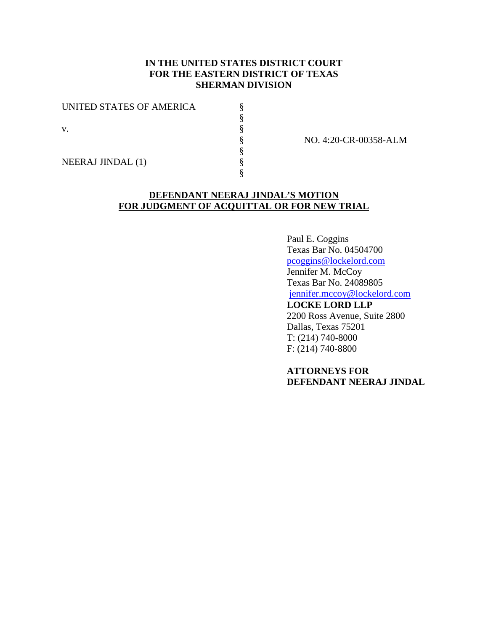# **IN THE UNITED STATES DISTRICT COURT FOR THE EASTERN DISTRICT OF TEXAS SHERMAN DIVISION**

§ § § § § § §

UNITED STATES OF AMERICA

v.

NO. 4:20-CR-00358-ALM

NEERAJ JINDAL (1)

# **DEFENDANT NEERAJ JINDAL'S MOTION FOR JUDGMENT OF ACQUITTAL OR FOR NEW TRIAL**

Paul E. Coggins Texas Bar No. 04504700 pcoggins@lockelord.com Jennifer M. McCoy Texas Bar No. 24089805 jennifer.mccoy@lockelord.com **LOCKE LORD LLP**

2200 Ross Avenue, Suite 2800 Dallas, Texas 75201 T: (214) 740-8000 F: (214) 740-8800

**ATTORNEYS FOR DEFENDANT NEERAJ JINDAL**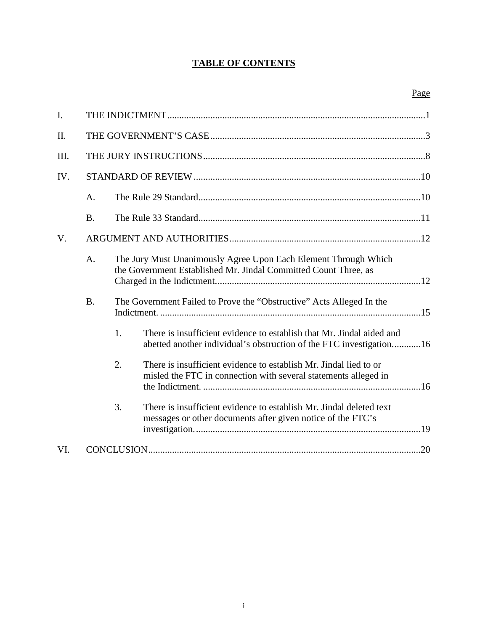# **TABLE OF CONTENTS**

| I.   |           |    |                                                                                                                                              |
|------|-----------|----|----------------------------------------------------------------------------------------------------------------------------------------------|
| Π.   |           |    |                                                                                                                                              |
| III. |           |    |                                                                                                                                              |
| IV.  |           |    |                                                                                                                                              |
|      | A.        |    |                                                                                                                                              |
|      | <b>B.</b> |    |                                                                                                                                              |
| V.   |           |    |                                                                                                                                              |
|      | A.        |    | The Jury Must Unanimously Agree Upon Each Element Through Which<br>the Government Established Mr. Jindal Committed Count Three, as           |
|      | <b>B.</b> |    | The Government Failed to Prove the "Obstructive" Acts Alleged In the                                                                         |
|      |           | 1. | There is insufficient evidence to establish that Mr. Jindal aided and<br>abetted another individual's obstruction of the FTC investigation16 |
|      |           | 2. | There is insufficient evidence to establish Mr. Jindal lied to or<br>misled the FTC in connection with several statements alleged in         |
|      |           | 3. | There is insufficient evidence to establish Mr. Jindal deleted text<br>messages or other documents after given notice of the FTC's           |
| VI.  |           |    |                                                                                                                                              |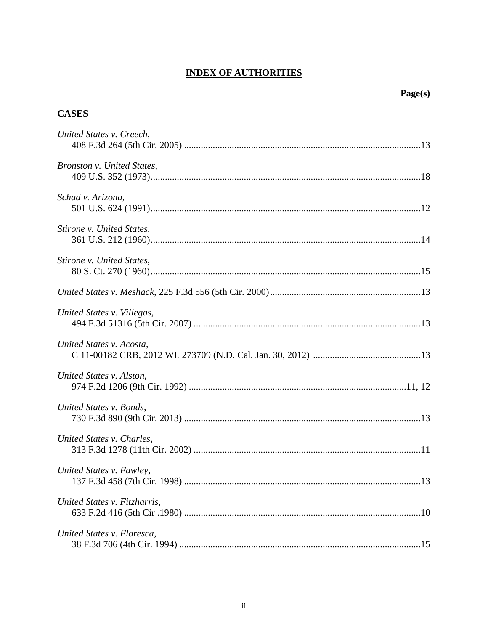# **INDEX OF AUTHORITIES**

| <b>CASES</b>                 |  |
|------------------------------|--|
| United States v. Creech,     |  |
| Bronston v. United States,   |  |
| Schad v. Arizona,            |  |
| Stirone v. United States,    |  |
| Stirone v. United States,    |  |
|                              |  |
| United States v. Villegas,   |  |
| United States v. Acosta,     |  |
| United States v. Alston,     |  |
| United States v. Bonds,      |  |
| United States v. Charles,    |  |
| United States v. Fawley,     |  |
| United States v. Fitzharris, |  |
| United States v. Floresca,   |  |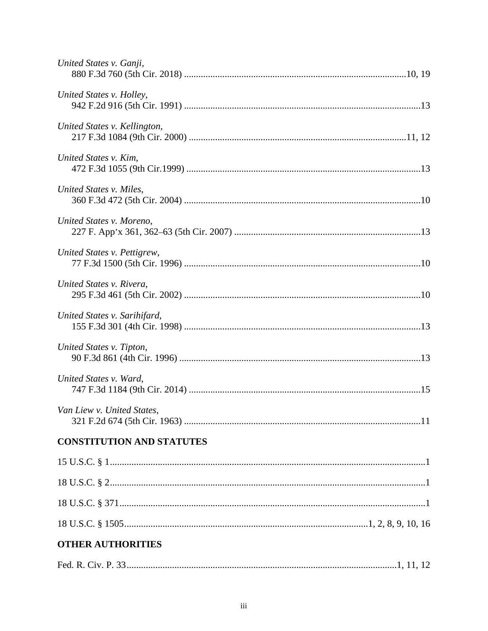| United States v. Ganji,          |
|----------------------------------|
| United States v. Holley,         |
| United States v. Kellington,     |
| United States v. Kim,            |
| United States v. Miles,          |
| United States v. Moreno,         |
| United States v. Pettigrew,      |
| United States v. Rivera,         |
| United States v. Sarihifard,     |
| United States v. Tipton,         |
| United States v. Ward,           |
| Van Liew v. United States,       |
| <b>CONSTITUTION AND STATUTES</b> |
|                                  |
|                                  |
|                                  |
|                                  |
| <b>OTHER AUTHORITIES</b>         |
|                                  |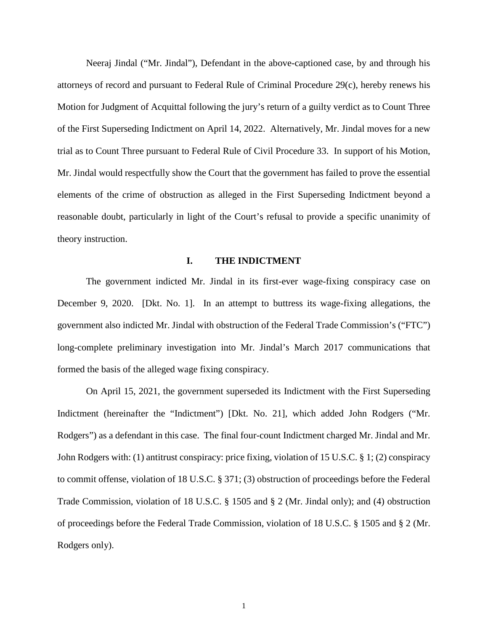Neeraj Jindal ("Mr. Jindal"), Defendant in the above-captioned case, by and through his attorneys of record and pursuant to Federal Rule of Criminal Procedure 29(c), hereby renews his Motion for Judgment of Acquittal following the jury's return of a guilty verdict as to Count Three of the First Superseding Indictment on April 14, 2022. Alternatively, Mr. Jindal moves for a new trial as to Count Three pursuant to Federal Rule of Civil Procedure 33. In support of his Motion, Mr. Jindal would respectfully show the Court that the government has failed to prove the essential elements of the crime of obstruction as alleged in the First Superseding Indictment beyond a reasonable doubt, particularly in light of the Court's refusal to provide a specific unanimity of theory instruction.

### **I. THE INDICTMENT**

The government indicted Mr. Jindal in its first-ever wage-fixing conspiracy case on December 9, 2020. [Dkt. No. 1]. In an attempt to buttress its wage-fixing allegations, the government also indicted Mr. Jindal with obstruction of the Federal Trade Commission's ("FTC") long-complete preliminary investigation into Mr. Jindal's March 2017 communications that formed the basis of the alleged wage fixing conspiracy.

On April 15, 2021, the government superseded its Indictment with the First Superseding Indictment (hereinafter the "Indictment") [Dkt. No. 21], which added John Rodgers ("Mr. Rodgers") as a defendant in this case. The final four-count Indictment charged Mr. Jindal and Mr. John Rodgers with: (1) antitrust conspiracy: price fixing, violation of 15 U.S.C. § 1; (2) conspiracy to commit offense, violation of 18 U.S.C. § 371; (3) obstruction of proceedings before the Federal Trade Commission, violation of 18 U.S.C. § 1505 and § 2 (Mr. Jindal only); and (4) obstruction of proceedings before the Federal Trade Commission, violation of 18 U.S.C. § 1505 and § 2 (Mr. Rodgers only).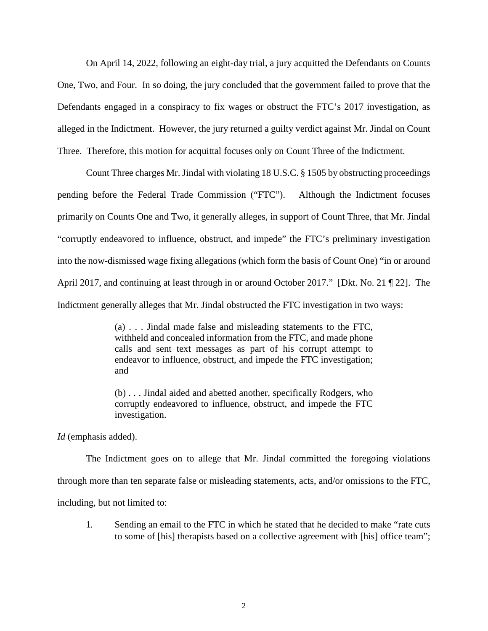On April 14, 2022, following an eight-day trial, a jury acquitted the Defendants on Counts One, Two, and Four. In so doing, the jury concluded that the government failed to prove that the Defendants engaged in a conspiracy to fix wages or obstruct the FTC's 2017 investigation, as alleged in the Indictment. However, the jury returned a guilty verdict against Mr. Jindal on Count Three. Therefore, this motion for acquittal focuses only on Count Three of the Indictment.

Count Three charges Mr. Jindal with violating 18 U.S.C. § 1505 by obstructing proceedings pending before the Federal Trade Commission ("FTC"). Although the Indictment focuses primarily on Counts One and Two, it generally alleges, in support of Count Three, that Mr. Jindal "corruptly endeavored to influence, obstruct, and impede" the FTC's preliminary investigation into the now-dismissed wage fixing allegations (which form the basis of Count One) "in or around April 2017, and continuing at least through in or around October 2017." [Dkt. No. 21 ¶ 22]. The Indictment generally alleges that Mr. Jindal obstructed the FTC investigation in two ways:

> (a) . . . Jindal made false and misleading statements to the FTC, withheld and concealed information from the FTC, and made phone calls and sent text messages as part of his corrupt attempt to endeavor to influence, obstruct, and impede the FTC investigation; and

> (b) . . . Jindal aided and abetted another, specifically Rodgers, who corruptly endeavored to influence, obstruct, and impede the FTC investigation.

*Id* (emphasis added).

The Indictment goes on to allege that Mr. Jindal committed the foregoing violations through more than ten separate false or misleading statements, acts, and/or omissions to the FTC, including, but not limited to:

1. Sending an email to the FTC in which he stated that he decided to make "rate cuts to some of [his] therapists based on a collective agreement with [his] office team";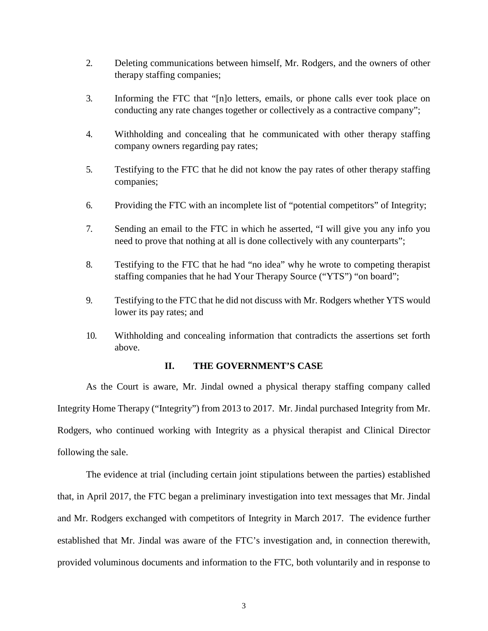- 2. Deleting communications between himself, Mr. Rodgers, and the owners of other therapy staffing companies;
- 3. Informing the FTC that "[n]o letters, emails, or phone calls ever took place on conducting any rate changes together or collectively as a contractive company";
- 4. Withholding and concealing that he communicated with other therapy staffing company owners regarding pay rates;
- 5. Testifying to the FTC that he did not know the pay rates of other therapy staffing companies;
- 6. Providing the FTC with an incomplete list of "potential competitors" of Integrity;
- 7. Sending an email to the FTC in which he asserted, "I will give you any info you need to prove that nothing at all is done collectively with any counterparts";
- 8. Testifying to the FTC that he had "no idea" why he wrote to competing therapist staffing companies that he had Your Therapy Source ("YTS") "on board";
- 9. Testifying to the FTC that he did not discuss with Mr. Rodgers whether YTS would lower its pay rates; and
- 10. Withholding and concealing information that contradicts the assertions set forth above.

### **II. THE GOVERNMENT'S CASE**

As the Court is aware, Mr. Jindal owned a physical therapy staffing company called Integrity Home Therapy ("Integrity") from 2013 to 2017. Mr. Jindal purchased Integrity from Mr. Rodgers, who continued working with Integrity as a physical therapist and Clinical Director following the sale.

The evidence at trial (including certain joint stipulations between the parties) established that, in April 2017, the FTC began a preliminary investigation into text messages that Mr. Jindal and Mr. Rodgers exchanged with competitors of Integrity in March 2017. The evidence further established that Mr. Jindal was aware of the FTC's investigation and, in connection therewith, provided voluminous documents and information to the FTC, both voluntarily and in response to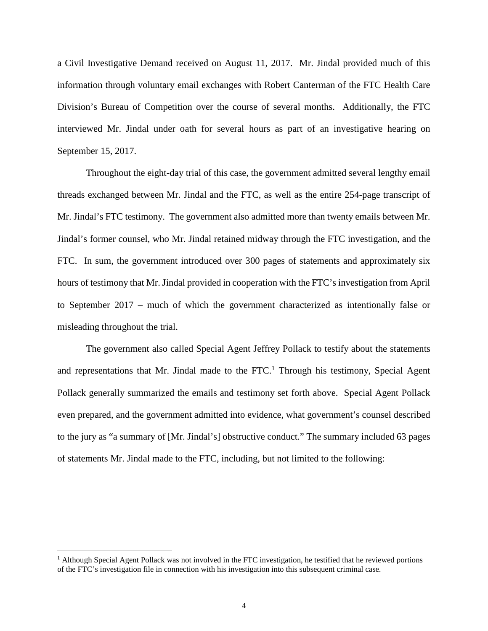a Civil Investigative Demand received on August 11, 2017. Mr. Jindal provided much of this information through voluntary email exchanges with Robert Canterman of the FTC Health Care Division's Bureau of Competition over the course of several months. Additionally, the FTC interviewed Mr. Jindal under oath for several hours as part of an investigative hearing on September 15, 2017.

Throughout the eight-day trial of this case, the government admitted several lengthy email threads exchanged between Mr. Jindal and the FTC, as well as the entire 254-page transcript of Mr. Jindal's FTC testimony. The government also admitted more than twenty emails between Mr. Jindal's former counsel, who Mr. Jindal retained midway through the FTC investigation, and the FTC. In sum, the government introduced over 300 pages of statements and approximately six hours of testimony that Mr. Jindal provided in cooperation with the FTC's investigation from April to September 2017 – much of which the government characterized as intentionally false or misleading throughout the trial.

The government also called Special Agent Jeffrey Pollack to testify about the statements and representations that Mr. Jindal made to the  $FTC<sup>1</sup>$  Through his testimony, Special Agent Pollack generally summarized the emails and testimony set forth above. Special Agent Pollack even prepared, and the government admitted into evidence, what government's counsel described to the jury as "a summary of [Mr. Jindal's] obstructive conduct." The summary included 63 pages of statements Mr. Jindal made to the FTC, including, but not limited to the following:

<sup>&</sup>lt;sup>1</sup> Although Special Agent Pollack was not involved in the FTC investigation, he testified that he reviewed portions of the FTC's investigation file in connection with his investigation into this subsequent criminal case.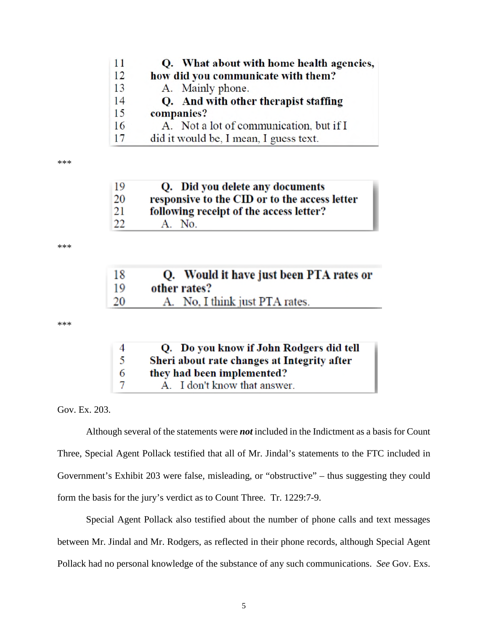| 11 | Q. What about with home health agencies, |
|----|------------------------------------------|
| 12 | how did you communicate with them?       |
| 13 | A. Mainly phone.                         |
| 14 | Q. And with other therapist staffing     |
| 15 | companies?                               |
| 16 | A. Not a lot of communication, but if I  |
| 17 | did it would be, I mean, I guess text.   |

\*\*\*

| 19 | Q. Did you delete any documents               |
|----|-----------------------------------------------|
| 20 | responsive to the CID or to the access letter |
| 21 | following receipt of the access letter?       |
| 22 | A. No.                                        |

\*\*\*

| 18 | Q. Would it have just been PTA rates or |
|----|-----------------------------------------|
| 19 | other rates?                            |
| 20 | A. No. I think just PTA rates.          |

\*\*\*

| $\Delta$ | Q. Do you know if John Rodgers did tell     |
|----------|---------------------------------------------|
| -5       | Sheri about rate changes at Integrity after |
| -6       | they had been implemented?                  |
|          | A. I don't know that answer.                |

Gov. Ex. 203.

Although several of the statements were *not* included in the Indictment as a basis for Count Three, Special Agent Pollack testified that all of Mr. Jindal's statements to the FTC included in Government's Exhibit 203 were false, misleading, or "obstructive" – thus suggesting they could form the basis for the jury's verdict as to Count Three. Tr. 1229:7-9.

Special Agent Pollack also testified about the number of phone calls and text messages between Mr. Jindal and Mr. Rodgers, as reflected in their phone records, although Special Agent Pollack had no personal knowledge of the substance of any such communications. *See* Gov. Exs.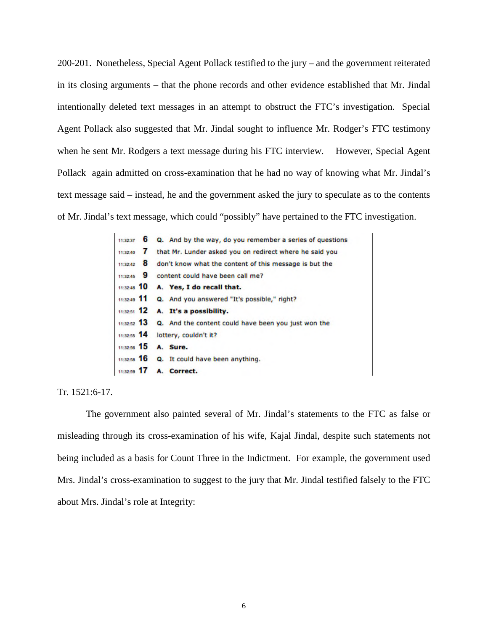200-201. Nonetheless, Special Agent Pollack testified to the jury – and the government reiterated in its closing arguments – that the phone records and other evidence established that Mr. Jindal intentionally deleted text messages in an attempt to obstruct the FTC's investigation. Special Agent Pollack also suggested that Mr. Jindal sought to influence Mr. Rodger's FTC testimony when he sent Mr. Rodgers a text message during his FTC interview. However, Special Agent Pollack again admitted on cross-examination that he had no way of knowing what Mr. Jindal's text message said – instead, he and the government asked the jury to speculate as to the contents of Mr. Jindal's text message, which could "possibly" have pertained to the FTC investigation.

|            | $11:32:37$ 6 Q. And by the way, do you remember a series of questions |
|------------|-----------------------------------------------------------------------|
| 11:32:40 7 | that Mr. Lunder asked you on redirect where he said you               |
| 11:32:42 8 | don't know what the content of this message is but the                |
|            | 11:32:45 9 content could have been call me?                           |
|            | 11:32:48 10 A. Yes, I do recall that.                                 |
|            | 11:32:49 11 Q. And you answered "It's possible," right?               |
|            | 11:32:51 12 A. It's a possibility.                                    |
|            | 11:32:52 13 Q. And the content could have been you just won the       |
|            | 11:32:55 14 lottery, couldn't it?                                     |
|            | 11:32:56 15 A. Sure.                                                  |
|            | $\frac{1}{11,32.56}$ 16 Q. It could have been anything.               |
|            | 11:32:59 17 A. Correct.                                               |
|            |                                                                       |

Tr. 1521:6-17.

The government also painted several of Mr. Jindal's statements to the FTC as false or misleading through its cross-examination of his wife, Kajal Jindal, despite such statements not being included as a basis for Count Three in the Indictment. For example, the government used Mrs. Jindal's cross-examination to suggest to the jury that Mr. Jindal testified falsely to the FTC about Mrs. Jindal's role at Integrity: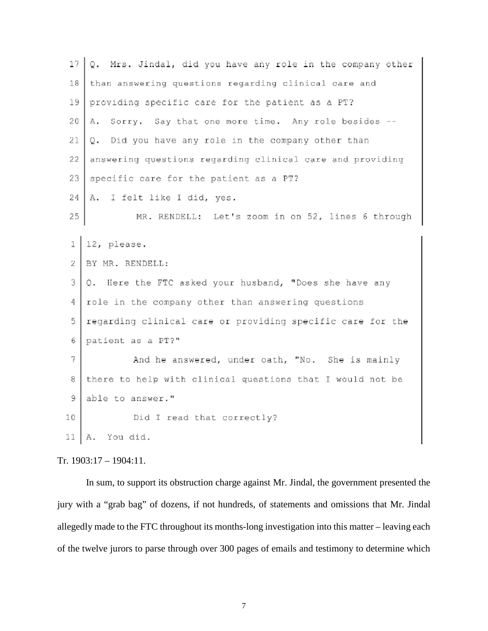| 17 | Mrs. Jindal, did you have any role in the company other<br>Q. |
|----|---------------------------------------------------------------|
| 18 | than answering questions regarding clinical care and          |
| 19 | providing specific care for the patient as a PT?              |
| 20 | Sorry. Say that one more time. Any role besides -<br>А.       |
| 21 | Q. Did you have any role in the company other than            |
| 22 | answering questions regarding clinical care and providing     |
| 23 | specific care for the patient as a PT?                        |
| 24 | A. I felt like I did, yes.                                    |
| 25 | MR. RENDELL: Let's zoom in on 52, lines 6 through             |
|    |                                                               |
| 1  | 12, please.                                                   |
| 2  | BY MR. RENDELL:                                               |
| 3  | Q. Here the FTC asked your husband, "Does she have any        |
| 4  | role in the company other than answering questions            |
| 5  | regarding clinical care or providing specific care for the    |
| 6  | patient as a PT?"                                             |
| 7  | And he answered, under oath, "No. She is mainly               |
| 8  | there to help with clinical questions that I would not be     |
| 9  | able to answer."                                              |
| 10 | Did I read that correctly?                                    |
| 11 | You did.<br>Α.                                                |

### Tr. 1903:17 – 1904:11.

In sum, to support its obstruction charge against Mr. Jindal, the government presented the jury with a "grab bag" of dozens, if not hundreds, of statements and omissions that Mr. Jindal allegedly made to the FTC throughout its months-long investigation into this matter – leaving each of the twelve jurors to parse through over 300 pages of emails and testimony to determine which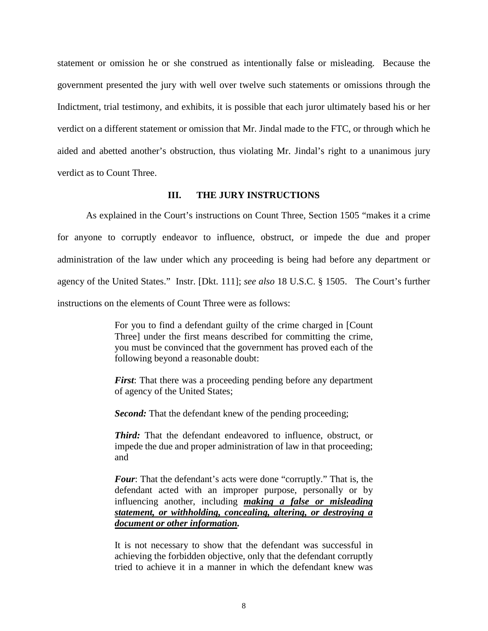statement or omission he or she construed as intentionally false or misleading. Because the government presented the jury with well over twelve such statements or omissions through the Indictment, trial testimony, and exhibits, it is possible that each juror ultimately based his or her verdict on a different statement or omission that Mr. Jindal made to the FTC, or through which he aided and abetted another's obstruction, thus violating Mr. Jindal's right to a unanimous jury verdict as to Count Three.

### **III. THE JURY INSTRUCTIONS**

As explained in the Court's instructions on Count Three, Section 1505 "makes it a crime for anyone to corruptly endeavor to influence, obstruct, or impede the due and proper administration of the law under which any proceeding is being had before any department or agency of the United States." Instr. [Dkt. 111]; *see also* 18 U.S.C. § 1505. The Court's further instructions on the elements of Count Three were as follows:

> For you to find a defendant guilty of the crime charged in [Count Three] under the first means described for committing the crime, you must be convinced that the government has proved each of the following beyond a reasonable doubt:

> *First*: That there was a proceeding pending before any department of agency of the United States;

*Second:* That the defendant knew of the pending proceeding;

*Third:* That the defendant endeavored to influence, obstruct, or impede the due and proper administration of law in that proceeding; and

*Four*: That the defendant's acts were done "corruptly." That is, the defendant acted with an improper purpose, personally or by influencing another, including *making a false or misleading statement, or withholding, concealing, altering, or destroying a document or other information.* 

 It is not necessary to show that the defendant was successful in achieving the forbidden objective, only that the defendant corruptly tried to achieve it in a manner in which the defendant knew was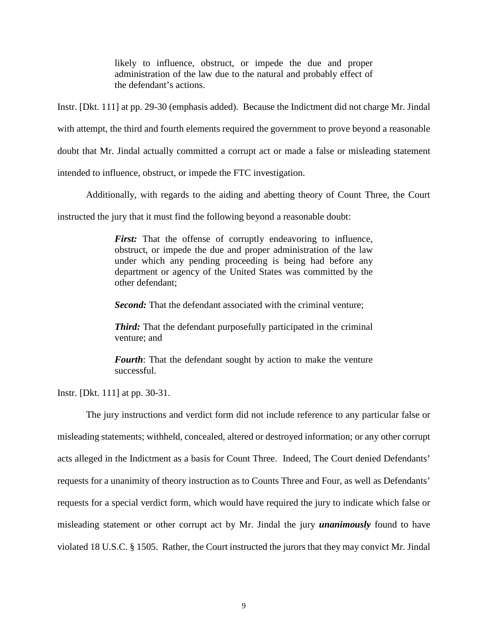likely to influence, obstruct, or impede the due and proper administration of the law due to the natural and probably effect of the defendant's actions.

Instr. [Dkt. 111] at pp. 29-30 (emphasis added). Because the Indictment did not charge Mr. Jindal

with attempt, the third and fourth elements required the government to prove beyond a reasonable

doubt that Mr. Jindal actually committed a corrupt act or made a false or misleading statement

intended to influence, obstruct, or impede the FTC investigation.

Additionally, with regards to the aiding and abetting theory of Count Three, the Court

instructed the jury that it must find the following beyond a reasonable doubt:

*First:* That the offense of corruptly endeavoring to influence, obstruct, or impede the due and proper administration of the law under which any pending proceeding is being had before any department or agency of the United States was committed by the other defendant;

*Second:* That the defendant associated with the criminal venture;

*Third:* That the defendant purposefully participated in the criminal venture; and

*Fourth*: That the defendant sought by action to make the venture successful.

Instr. [Dkt. 111] at pp. 30-31.

The jury instructions and verdict form did not include reference to any particular false or misleading statements; withheld, concealed, altered or destroyed information; or any other corrupt acts alleged in the Indictment as a basis for Count Three. Indeed, The Court denied Defendants' requests for a unanimity of theory instruction as to Counts Three and Four, as well as Defendants' requests for a special verdict form, which would have required the jury to indicate which false or misleading statement or other corrupt act by Mr. Jindal the jury *unanimously* found to have violated 18 U.S.C. § 1505. Rather, the Court instructed the jurors that they may convict Mr. Jindal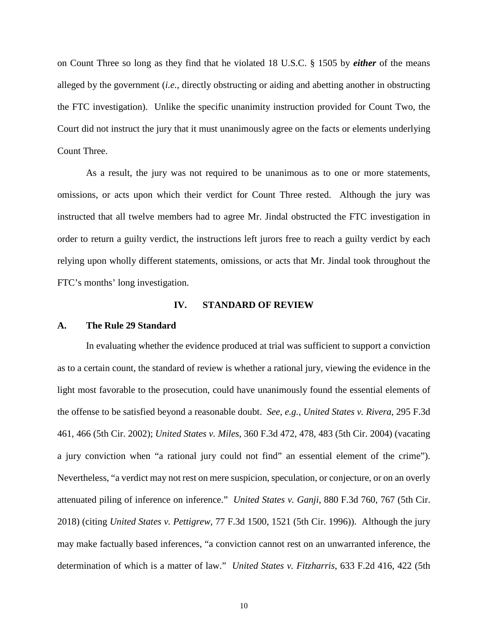on Count Three so long as they find that he violated 18 U.S.C. § 1505 by *either* of the means alleged by the government (*i.e.,* directly obstructing or aiding and abetting another in obstructing the FTC investigation). Unlike the specific unanimity instruction provided for Count Two, the Court did not instruct the jury that it must unanimously agree on the facts or elements underlying Count Three.

As a result, the jury was not required to be unanimous as to one or more statements, omissions, or acts upon which their verdict for Count Three rested. Although the jury was instructed that all twelve members had to agree Mr. Jindal obstructed the FTC investigation in order to return a guilty verdict, the instructions left jurors free to reach a guilty verdict by each relying upon wholly different statements, omissions, or acts that Mr. Jindal took throughout the FTC's months' long investigation.

#### **IV. STANDARD OF REVIEW**

#### **A. The Rule 29 Standard**

In evaluating whether the evidence produced at trial was sufficient to support a conviction as to a certain count, the standard of review is whether a rational jury, viewing the evidence in the light most favorable to the prosecution, could have unanimously found the essential elements of the offense to be satisfied beyond a reasonable doubt. *See, e.g., United States v. Rivera*, 295 F.3d 461, 466 (5th Cir. 2002); *United States v. Miles*, 360 F.3d 472, 478, 483 (5th Cir. 2004) (vacating a jury conviction when "a rational jury could not find" an essential element of the crime"). Nevertheless, "a verdict may not rest on mere suspicion, speculation, or conjecture, or on an overly attenuated piling of inference on inference." *United States v. Ganji*, 880 F.3d 760, 767 (5th Cir. 2018) (citing *United States v. Pettigrew*, 77 F.3d 1500, 1521 (5th Cir. 1996)). Although the jury may make factually based inferences, "a conviction cannot rest on an unwarranted inference, the determination of which is a matter of law." *United States v. Fitzharris*, 633 F.2d 416, 422 (5th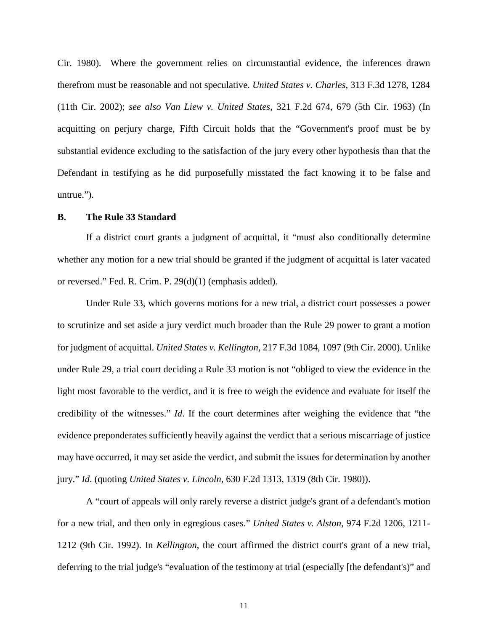Cir. 1980). Where the government relies on circumstantial evidence, the inferences drawn therefrom must be reasonable and not speculative. *United States v. Charles*, 313 F.3d 1278, 1284 (11th Cir. 2002); *see also Van Liew v. United States*, 321 F.2d 674, 679 (5th Cir. 1963) (In acquitting on perjury charge, Fifth Circuit holds that the "Government's proof must be by substantial evidence excluding to the satisfaction of the jury every other hypothesis than that the Defendant in testifying as he did purposefully misstated the fact knowing it to be false and untrue.").

#### **B. The Rule 33 Standard**

If a district court grants a judgment of acquittal, it "must also conditionally determine whether any motion for a new trial should be granted if the judgment of acquittal is later vacated or reversed." Fed. R. Crim. P. 29(d)(1) (emphasis added).

Under Rule 33, which governs motions for a new trial, a district court possesses a power to scrutinize and set aside a jury verdict much broader than the Rule 29 power to grant a motion for judgment of acquittal. *United States v. Kellington*, 217 F.3d 1084, 1097 (9th Cir. 2000). Unlike under Rule 29, a trial court deciding a Rule 33 motion is not "obliged to view the evidence in the light most favorable to the verdict, and it is free to weigh the evidence and evaluate for itself the credibility of the witnesses." *Id*. If the court determines after weighing the evidence that "the evidence preponderates sufficiently heavily against the verdict that a serious miscarriage of justice may have occurred, it may set aside the verdict, and submit the issues for determination by another jury." *Id*. (quoting *United States v. Lincoln*, 630 F.2d 1313, 1319 (8th Cir. 1980)).

A "court of appeals will only rarely reverse a district judge's grant of a defendant's motion for a new trial, and then only in egregious cases." *United States v. Alston*, 974 F.2d 1206, 1211- 1212 (9th Cir. 1992). In *Kellington*, the court affirmed the district court's grant of a new trial, deferring to the trial judge's "evaluation of the testimony at trial (especially [the defendant's)" and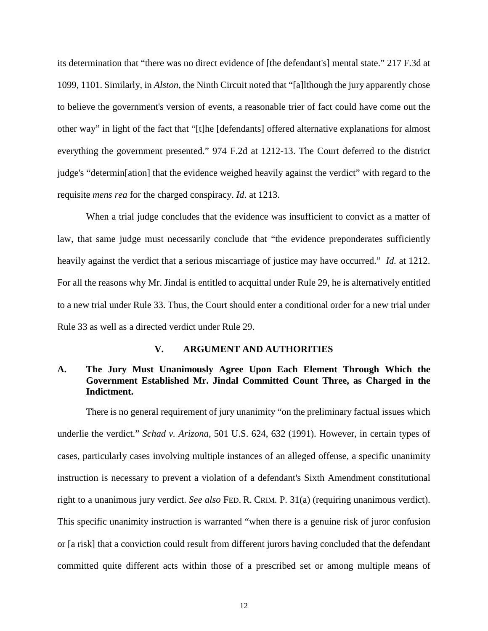its determination that "there was no direct evidence of [the defendant's] mental state." 217 F.3d at 1099, 1101. Similarly, in *Alston*, the Ninth Circuit noted that "[a]lthough the jury apparently chose to believe the government's version of events, a reasonable trier of fact could have come out the other way" in light of the fact that "[t]he [defendants] offered alternative explanations for almost everything the government presented." 974 F.2d at 1212-13. The Court deferred to the district judge's "determin[ation] that the evidence weighed heavily against the verdict" with regard to the requisite *mens rea* for the charged conspiracy. *Id*. at 1213.

When a trial judge concludes that the evidence was insufficient to convict as a matter of law, that same judge must necessarily conclude that "the evidence preponderates sufficiently heavily against the verdict that a serious miscarriage of justice may have occurred." *Id.* at 1212. For all the reasons why Mr. Jindal is entitled to acquittal under Rule 29, he is alternatively entitled to a new trial under Rule 33. Thus, the Court should enter a conditional order for a new trial under Rule 33 as well as a directed verdict under Rule 29.

# **V. ARGUMENT AND AUTHORITIES**

# **A. The Jury Must Unanimously Agree Upon Each Element Through Which the Government Established Mr. Jindal Committed Count Three, as Charged in the Indictment.**

There is no general requirement of jury unanimity "on the preliminary factual issues which underlie the verdict." *Schad v. Arizona*, 501 U.S. 624, 632 (1991). However, in certain types of cases, particularly cases involving multiple instances of an alleged offense, a specific unanimity instruction is necessary to prevent a violation of a defendant's Sixth Amendment constitutional right to a unanimous jury verdict. *See also* FED. R. CRIM. P. 31(a) (requiring unanimous verdict). This specific unanimity instruction is warranted "when there is a genuine risk of juror confusion or [a risk] that a conviction could result from different jurors having concluded that the defendant committed quite different acts within those of a prescribed set or among multiple means of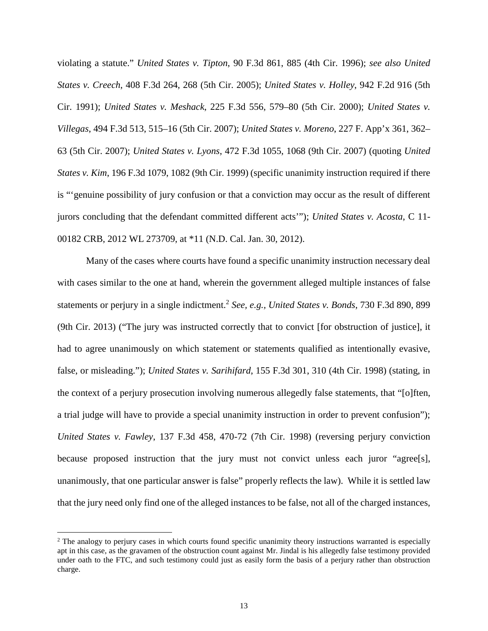violating a statute." *United States v. Tipton*, 90 F.3d 861, 885 (4th Cir. 1996); *see also United States v. Creech*, 408 F.3d 264, 268 (5th Cir. 2005); *United States v. Holley*, 942 F.2d 916 (5th Cir. 1991); *United States v. Meshack*, 225 F.3d 556, 579–80 (5th Cir. 2000); *United States v. Villegas*, 494 F.3d 513, 515–16 (5th Cir. 2007); *United States v. Moreno*, 227 F. App'x 361, 362– 63 (5th Cir. 2007); *United States v. Lyons*, 472 F.3d 1055, 1068 (9th Cir. 2007) (quoting *United States v. Kim*, 196 F.3d 1079, 1082 (9th Cir. 1999) (specific unanimity instruction required if there is "'genuine possibility of jury confusion or that a conviction may occur as the result of different jurors concluding that the defendant committed different acts'"); *United States v. Acosta*, C 11- 00182 CRB, 2012 WL 273709, at \*11 (N.D. Cal. Jan. 30, 2012).

Many of the cases where courts have found a specific unanimity instruction necessary deal with cases similar to the one at hand, wherein the government alleged multiple instances of false statements or perjury in a single indictment.<sup>2</sup> See, e.g., United States v. Bonds, 730 F.3d 890, 899 (9th Cir. 2013) ("The jury was instructed correctly that to convict [for obstruction of justice], it had to agree unanimously on which statement or statements qualified as intentionally evasive, false, or misleading."); *United States v. Sarihifard*, 155 F.3d 301, 310 (4th Cir. 1998) (stating, in the context of a perjury prosecution involving numerous allegedly false statements, that "[o]ften, a trial judge will have to provide a special unanimity instruction in order to prevent confusion"); *United States v. Fawley*, 137 F.3d 458, 470-72 (7th Cir. 1998) (reversing perjury conviction because proposed instruction that the jury must not convict unless each juror "agree<sup>[s]</sup>, unanimously, that one particular answer is false" properly reflects the law). While it is settled law that the jury need only find one of the alleged instances to be false, not all of the charged instances,

<sup>&</sup>lt;sup>2</sup> The analogy to perjury cases in which courts found specific unanimity theory instructions warranted is especially apt in this case, as the gravamen of the obstruction count against Mr. Jindal is his allegedly false testimony provided under oath to the FTC, and such testimony could just as easily form the basis of a perjury rather than obstruction charge.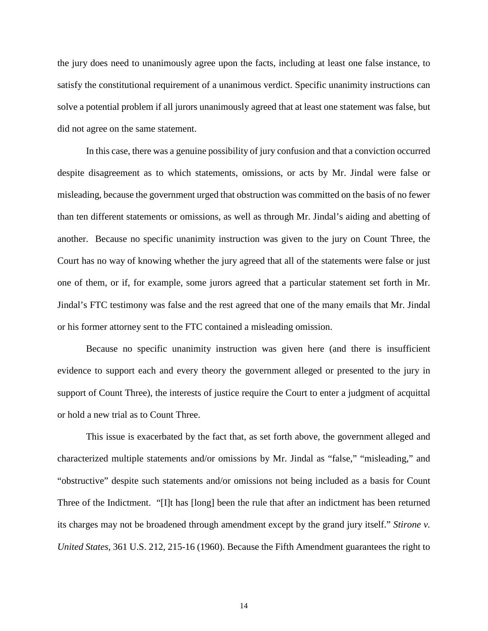the jury does need to unanimously agree upon the facts, including at least one false instance, to satisfy the constitutional requirement of a unanimous verdict. Specific unanimity instructions can solve a potential problem if all jurors unanimously agreed that at least one statement was false, but did not agree on the same statement.

In this case, there was a genuine possibility of jury confusion and that a conviction occurred despite disagreement as to which statements, omissions, or acts by Mr. Jindal were false or misleading, because the government urged that obstruction was committed on the basis of no fewer than ten different statements or omissions, as well as through Mr. Jindal's aiding and abetting of another. Because no specific unanimity instruction was given to the jury on Count Three, the Court has no way of knowing whether the jury agreed that all of the statements were false or just one of them, or if, for example, some jurors agreed that a particular statement set forth in Mr. Jindal's FTC testimony was false and the rest agreed that one of the many emails that Mr. Jindal or his former attorney sent to the FTC contained a misleading omission.

Because no specific unanimity instruction was given here (and there is insufficient evidence to support each and every theory the government alleged or presented to the jury in support of Count Three), the interests of justice require the Court to enter a judgment of acquittal or hold a new trial as to Count Three.

This issue is exacerbated by the fact that, as set forth above, the government alleged and characterized multiple statements and/or omissions by Mr. Jindal as "false," "misleading," and "obstructive" despite such statements and/or omissions not being included as a basis for Count Three of the Indictment. "[I]t has [long] been the rule that after an indictment has been returned its charges may not be broadened through amendment except by the grand jury itself." *Stirone v. United States*, 361 U.S. 212, 215-16 (1960). Because the Fifth Amendment guarantees the right to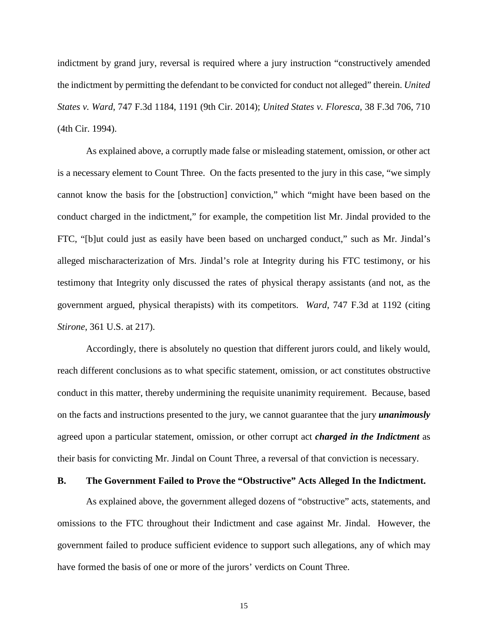indictment by grand jury, reversal is required where a jury instruction "constructively amended the indictment by permitting the defendant to be convicted for conduct not alleged" therein. *United States v. Ward*, 747 F.3d 1184, 1191 (9th Cir. 2014); *United States v. Floresca*, 38 F.3d 706, 710 (4th Cir. 1994).

As explained above, a corruptly made false or misleading statement, omission, or other act is a necessary element to Count Three. On the facts presented to the jury in this case, "we simply cannot know the basis for the [obstruction] conviction," which "might have been based on the conduct charged in the indictment," for example, the competition list Mr. Jindal provided to the FTC, "[b]ut could just as easily have been based on uncharged conduct," such as Mr. Jindal's alleged mischaracterization of Mrs. Jindal's role at Integrity during his FTC testimony, or his testimony that Integrity only discussed the rates of physical therapy assistants (and not, as the government argued, physical therapists) with its competitors. *Ward*, 747 F.3d at 1192 (citing *Stirone*, 361 U.S. at 217).

Accordingly, there is absolutely no question that different jurors could, and likely would, reach different conclusions as to what specific statement, omission, or act constitutes obstructive conduct in this matter, thereby undermining the requisite unanimity requirement. Because, based on the facts and instructions presented to the jury, we cannot guarantee that the jury *unanimously*  agreed upon a particular statement, omission, or other corrupt act *charged in the Indictment* as their basis for convicting Mr. Jindal on Count Three, a reversal of that conviction is necessary.

#### **B. The Government Failed to Prove the "Obstructive" Acts Alleged In the Indictment.**

As explained above, the government alleged dozens of "obstructive" acts, statements, and omissions to the FTC throughout their Indictment and case against Mr. Jindal. However, the government failed to produce sufficient evidence to support such allegations, any of which may have formed the basis of one or more of the jurors' verdicts on Count Three.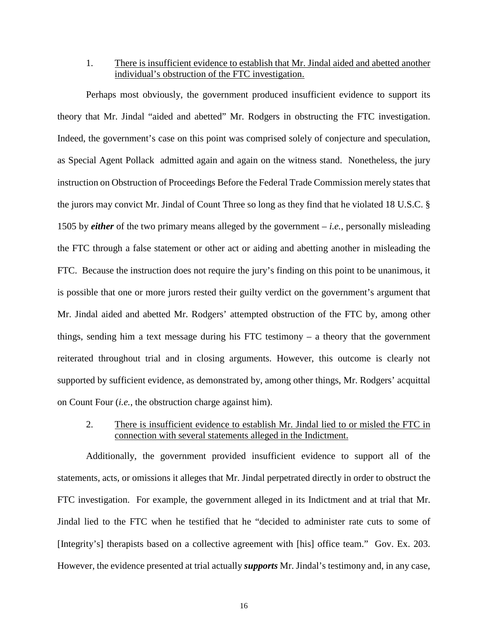1. There is insufficient evidence to establish that Mr. Jindal aided and abetted another individual's obstruction of the FTC investigation.

Perhaps most obviously, the government produced insufficient evidence to support its theory that Mr. Jindal "aided and abetted" Mr. Rodgers in obstructing the FTC investigation. Indeed, the government's case on this point was comprised solely of conjecture and speculation, as Special Agent Pollack admitted again and again on the witness stand. Nonetheless, the jury instruction on Obstruction of Proceedings Before the Federal Trade Commission merely states that the jurors may convict Mr. Jindal of Count Three so long as they find that he violated 18 U.S.C. § 1505 by *either* of the two primary means alleged by the government – *i.e.*, personally misleading the FTC through a false statement or other act or aiding and abetting another in misleading the FTC. Because the instruction does not require the jury's finding on this point to be unanimous, it is possible that one or more jurors rested their guilty verdict on the government's argument that Mr. Jindal aided and abetted Mr. Rodgers' attempted obstruction of the FTC by, among other things, sending him a text message during his FTC testimony – a theory that the government reiterated throughout trial and in closing arguments. However, this outcome is clearly not supported by sufficient evidence, as demonstrated by, among other things, Mr. Rodgers' acquittal on Count Four (*i.e.*, the obstruction charge against him).

2. There is insufficient evidence to establish Mr. Jindal lied to or misled the FTC in connection with several statements alleged in the Indictment.

Additionally, the government provided insufficient evidence to support all of the statements, acts, or omissions it alleges that Mr. Jindal perpetrated directly in order to obstruct the FTC investigation. For example, the government alleged in its Indictment and at trial that Mr. Jindal lied to the FTC when he testified that he "decided to administer rate cuts to some of [Integrity's] therapists based on a collective agreement with [his] office team." Gov. Ex. 203. However, the evidence presented at trial actually *supports* Mr. Jindal's testimony and, in any case,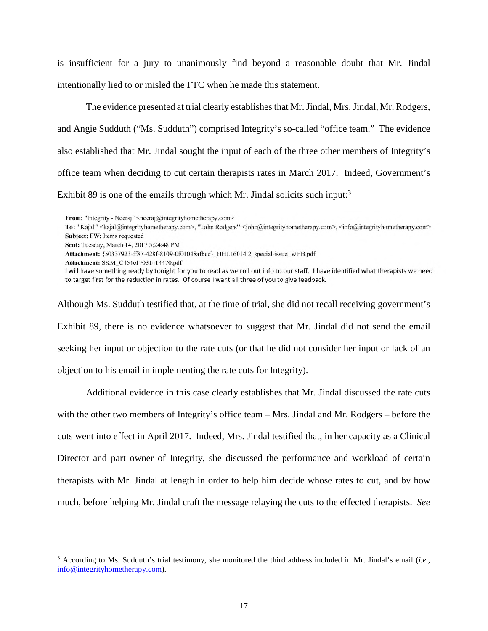is insufficient for a jury to unanimously find beyond a reasonable doubt that Mr. Jindal intentionally lied to or misled the FTC when he made this statement.

The evidence presented at trial clearly establishes that Mr. Jindal, Mrs. Jindal, Mr. Rodgers, and Angie Sudduth ("Ms. Sudduth") comprised Integrity's so-called "office team." The evidence also established that Mr. Jindal sought the input of each of the three other members of Integrity's office team when deciding to cut certain therapists rates in March 2017. Indeed, Government's Exhibit 89 is one of the emails through which Mr. Jindal solicits such input: $3$ 

To: "Kajal" <kajal@integrityhometherapy.com>, "John Rodgers" <john@integrityhometherapy.com>, <info@integrityhometherapy.com> Subject: FW: Items requested

Attachment: {50337923-ff87-428f-8109-0f01048afbcc}\_HHL16014.2 special-issue WEB.pdf

I will have something ready by tonight for you to read as we roll out info to our staff. I have identified what therapists we need to target first for the reduction in rates. Of course I want all three of you to give feedback.

Although Ms. Sudduth testified that, at the time of trial, she did not recall receiving government's Exhibit 89, there is no evidence whatsoever to suggest that Mr. Jindal did not send the email seeking her input or objection to the rate cuts (or that he did not consider her input or lack of an objection to his email in implementing the rate cuts for Integrity).

Additional evidence in this case clearly establishes that Mr. Jindal discussed the rate cuts with the other two members of Integrity's office team – Mrs. Jindal and Mr. Rodgers – before the cuts went into effect in April 2017. Indeed, Mrs. Jindal testified that, in her capacity as a Clinical Director and part owner of Integrity, she discussed the performance and workload of certain therapists with Mr. Jindal at length in order to help him decide whose rates to cut, and by how much, before helping Mr. Jindal craft the message relaying the cuts to the effected therapists. *See* 

From: "Integrity - Neeraj" <neeraj@integrityhometherapy.com>

Sent: Tuesday, March 14, 2017 5:24:48 PM

Attachment: SKM C454e17031414470.pdf

<sup>&</sup>lt;sup>3</sup> According to Ms. Sudduth's trial testimony, she monitored the third address included in Mr. Jindal's email (*i.e.*, info@integrityhometherapy.com).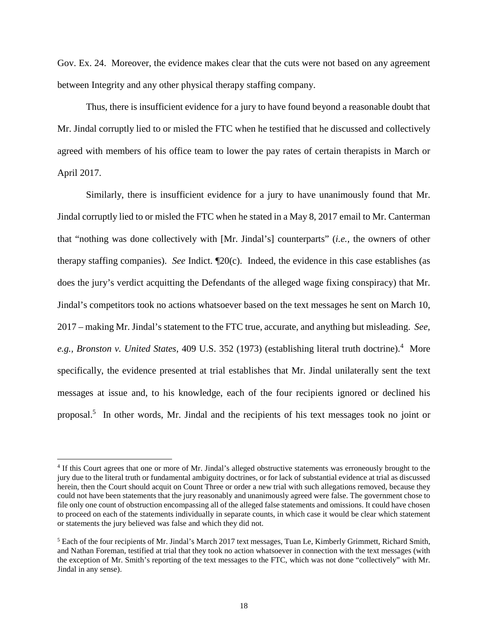Gov. Ex. 24. Moreover, the evidence makes clear that the cuts were not based on any agreement between Integrity and any other physical therapy staffing company.

Thus, there is insufficient evidence for a jury to have found beyond a reasonable doubt that Mr. Jindal corruptly lied to or misled the FTC when he testified that he discussed and collectively agreed with members of his office team to lower the pay rates of certain therapists in March or April 2017.

Similarly, there is insufficient evidence for a jury to have unanimously found that Mr. Jindal corruptly lied to or misled the FTC when he stated in a May 8, 2017 email to Mr. Canterman that "nothing was done collectively with [Mr. Jindal's] counterparts" (*i.e.*, the owners of other therapy staffing companies). *See* Indict. ¶20(c). Indeed, the evidence in this case establishes (as does the jury's verdict acquitting the Defendants of the alleged wage fixing conspiracy) that Mr. Jindal's competitors took no actions whatsoever based on the text messages he sent on March 10, 2017 – making Mr. Jindal's statement to the FTC true, accurate, and anything but misleading. *See,*  e.g., Bronston v. United States, 409 U.S. 352 (1973) (establishing literal truth doctrine).<sup>4</sup> More specifically, the evidence presented at trial establishes that Mr. Jindal unilaterally sent the text messages at issue and, to his knowledge, each of the four recipients ignored or declined his proposal.<sup>5</sup> In other words, Mr. Jindal and the recipients of his text messages took no joint or

<sup>4</sup> If this Court agrees that one or more of Mr. Jindal's alleged obstructive statements was erroneously brought to the jury due to the literal truth or fundamental ambiguity doctrines, or for lack of substantial evidence at trial as discussed herein, then the Court should acquit on Count Three or order a new trial with such allegations removed, because they could not have been statements that the jury reasonably and unanimously agreed were false. The government chose to file only one count of obstruction encompassing all of the alleged false statements and omissions. It could have chosen to proceed on each of the statements individually in separate counts, in which case it would be clear which statement or statements the jury believed was false and which they did not.

 $<sup>5</sup>$  Each of the four recipients of Mr. Jindal's March 2017 text messages, Tuan Le, Kimberly Grimmett, Richard Smith,</sup> and Nathan Foreman, testified at trial that they took no action whatsoever in connection with the text messages (with the exception of Mr. Smith's reporting of the text messages to the FTC, which was not done "collectively" with Mr. Jindal in any sense).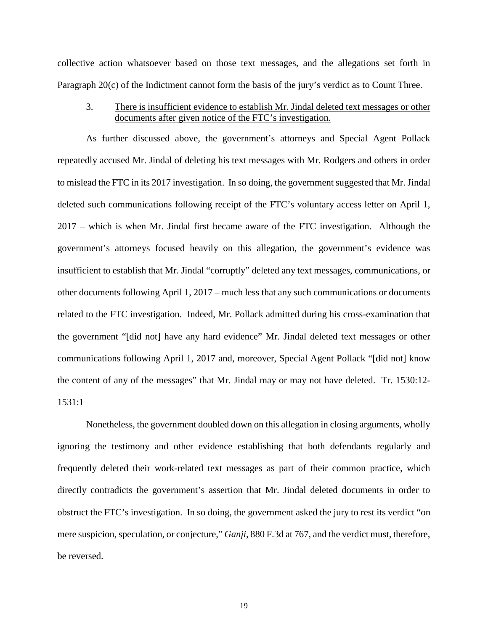collective action whatsoever based on those text messages, and the allegations set forth in Paragraph 20(c) of the Indictment cannot form the basis of the jury's verdict as to Count Three.

3. There is insufficient evidence to establish Mr. Jindal deleted text messages or other documents after given notice of the FTC's investigation.

As further discussed above, the government's attorneys and Special Agent Pollack repeatedly accused Mr. Jindal of deleting his text messages with Mr. Rodgers and others in order to mislead the FTC in its 2017 investigation. In so doing, the government suggested that Mr. Jindal deleted such communications following receipt of the FTC's voluntary access letter on April 1, 2017 – which is when Mr. Jindal first became aware of the FTC investigation. Although the government's attorneys focused heavily on this allegation, the government's evidence was insufficient to establish that Mr. Jindal "corruptly" deleted any text messages, communications, or other documents following April 1, 2017 – much less that any such communications or documents related to the FTC investigation. Indeed, Mr. Pollack admitted during his cross-examination that the government "[did not] have any hard evidence" Mr. Jindal deleted text messages or other communications following April 1, 2017 and, moreover, Special Agent Pollack "[did not] know the content of any of the messages" that Mr. Jindal may or may not have deleted. Tr. 1530:12- 1531:1

Nonetheless, the government doubled down on this allegation in closing arguments, wholly ignoring the testimony and other evidence establishing that both defendants regularly and frequently deleted their work-related text messages as part of their common practice, which directly contradicts the government's assertion that Mr. Jindal deleted documents in order to obstruct the FTC's investigation. In so doing, the government asked the jury to rest its verdict "on mere suspicion, speculation, or conjecture," *Ganji*, 880 F.3d at 767, and the verdict must, therefore, be reversed.

19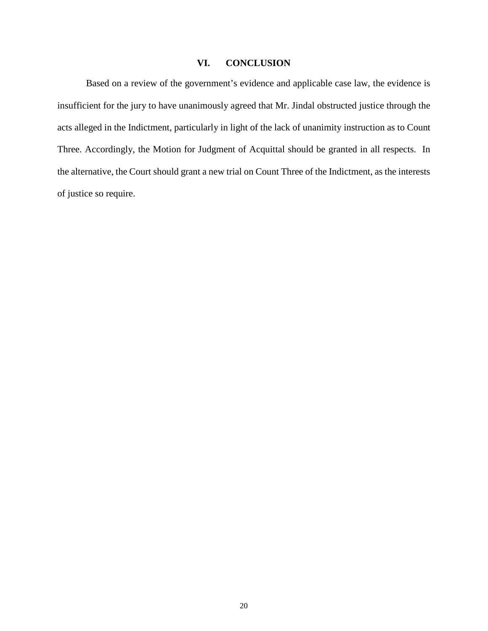## **VI. CONCLUSION**

Based on a review of the government's evidence and applicable case law, the evidence is insufficient for the jury to have unanimously agreed that Mr. Jindal obstructed justice through the acts alleged in the Indictment, particularly in light of the lack of unanimity instruction as to Count Three. Accordingly, the Motion for Judgment of Acquittal should be granted in all respects. In the alternative, the Court should grant a new trial on Count Three of the Indictment, as the interests of justice so require.